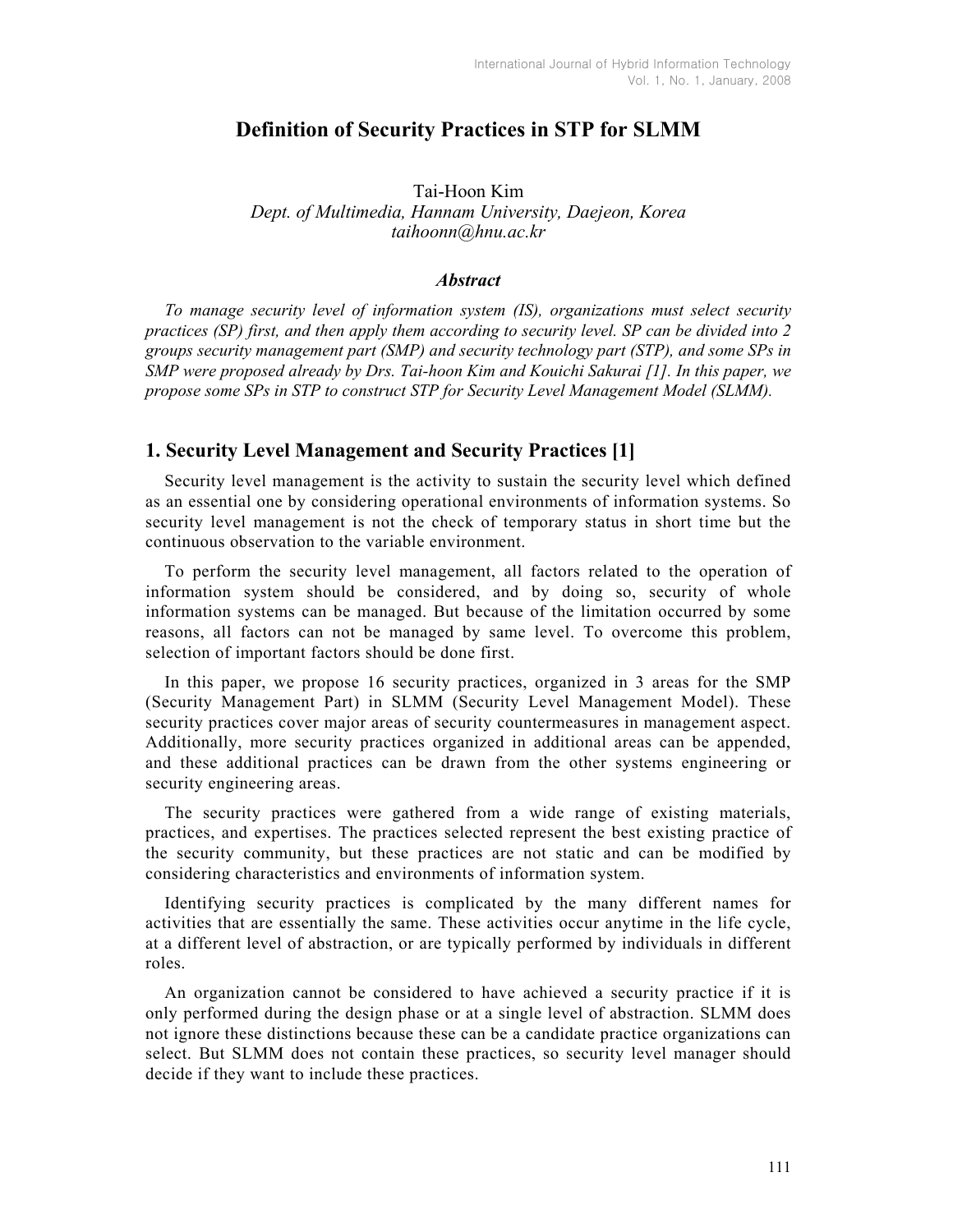# **Definition of Security Practices in STP for SLMM**

Tai-Hoon Kim *Dept. of Multimedia, Hannam University, Daejeon, Korea taihoonn@hnu.ac.kr* 

#### *Abstract*

*To manage security level of information system (IS), organizations must select security practices (SP) first, and then apply them according to security level. SP can be divided into 2 groups security management part (SMP) and security technology part (STP), and some SPs in SMP were proposed already by Drs. Tai-hoon Kim and Kouichi Sakurai [1]. In this paper, we propose some SPs in STP to construct STP for Security Level Management Model (SLMM).* 

### **1. Security Level Management and Security Practices [1]**

Security level management is the activity to sustain the security level which defined as an essential one by considering operational environments of information systems. So security level management is not the check of temporary status in short time but the continuous observation to the variable environment.

To perform the security level management, all factors related to the operation of information system should be considered, and by doing so, security of whole information systems can be managed. But because of the limitation occurred by some reasons, all factors can not be managed by same level. To overcome this problem, selection of important factors should be done first.

In this paper, we propose 16 security practices, organized in 3 areas for the SMP (Security Management Part) in SLMM (Security Level Management Model). These security practices cover major areas of security countermeasures in management aspect. Additionally, more security practices organized in additional areas can be appended, and these additional practices can be drawn from the other systems engineering or security engineering areas.

The security practices were gathered from a wide range of existing materials, practices, and expertises. The practices selected represent the best existing practice of the security community, but these practices are not static and can be modified by considering characteristics and environments of information system.

Identifying security practices is complicated by the many different names for activities that are essentially the same. These activities occur anytime in the life cycle, at a different level of abstraction, or are typically performed by individuals in different roles.

An organization cannot be considered to have achieved a security practice if it is only performed during the design phase or at a single level of abstraction. SLMM does not ignore these distinctions because these can be a candidate practice organizations can select. But SLMM does not contain these practices, so security level manager should decide if they want to include these practices.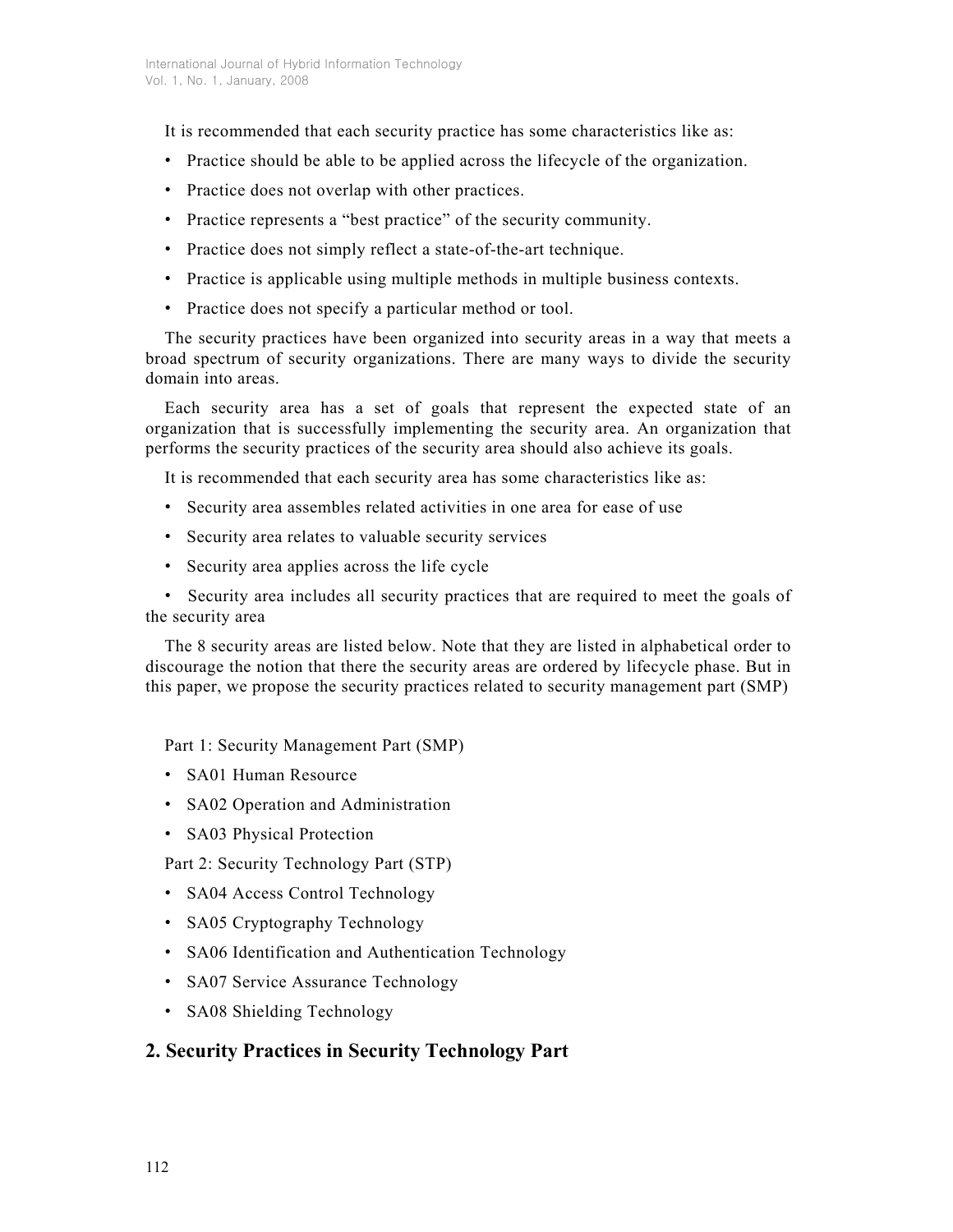It is recommended that each security practice has some characteristics like as:

- Practice should be able to be applied across the lifecycle of the organization.
- Practice does not overlap with other practices.
- Practice represents a "best practice" of the security community.
- Practice does not simply reflect a state-of-the-art technique.
- Practice is applicable using multiple methods in multiple business contexts.
- Practice does not specify a particular method or tool.

The security practices have been organized into security areas in a way that meets a broad spectrum of security organizations. There are many ways to divide the security domain into areas.

Each security area has a set of goals that represent the expected state of an organization that is successfully implementing the security area. An organization that performs the security practices of the security area should also achieve its goals.

It is recommended that each security area has some characteristics like as:

- Security area assembles related activities in one area for ease of use
- Security area relates to valuable security services
- Security area applies across the life cycle

• Security area includes all security practices that are required to meet the goals of the security area

The 8 security areas are listed below. Note that they are listed in alphabetical order to discourage the notion that there the security areas are ordered by lifecycle phase. But in this paper, we propose the security practices related to security management part (SMP)

Part 1: Security Management Part (SMP)

- SA01 Human Resource
- SA02 Operation and Administration
- SA03 Physical Protection

Part 2: Security Technology Part (STP)

- SA04 Access Control Technology
- SA05 Cryptography Technology
- SA06 Identification and Authentication Technology
- SA07 Service Assurance Technology
- SA08 Shielding Technology

# **2. Security Practices in Security Technology Part**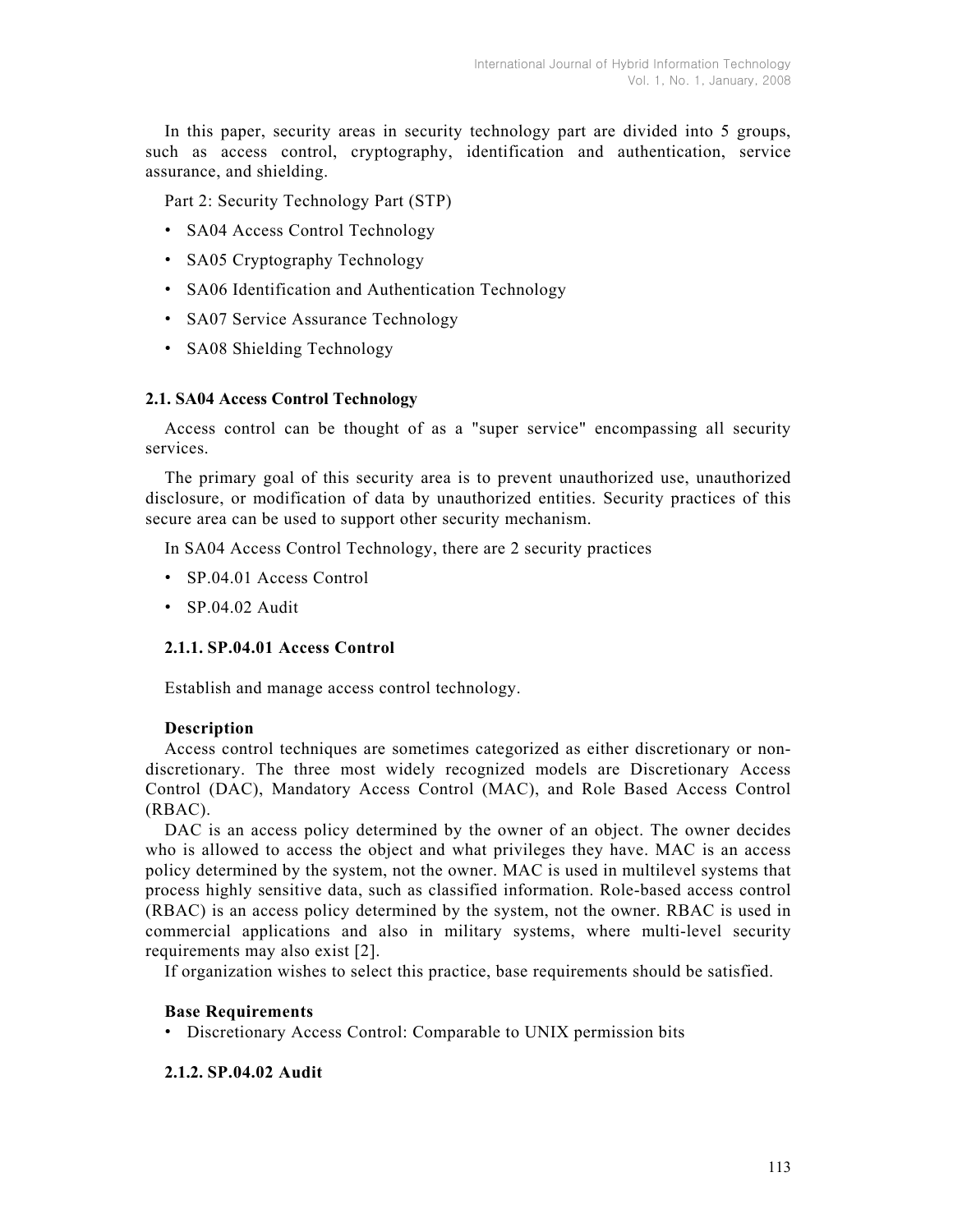In this paper, security areas in security technology part are divided into 5 groups, such as access control, cryptography, identification and authentication, service assurance, and shielding.

Part 2: Security Technology Part (STP)

- SA04 Access Control Technology
- SA05 Cryptography Technology
- SA06 Identification and Authentication Technology
- SA07 Service Assurance Technology
- SA08 Shielding Technology

### **2.1. SA04 Access Control Technology**

Access control can be thought of as a "super service" encompassing all security services.

The primary goal of this security area is to prevent unauthorized use, unauthorized disclosure, or modification of data by unauthorized entities. Security practices of this secure area can be used to support other security mechanism.

In SA04 Access Control Technology, there are 2 security practices

- SP.04.01 Access Control
- SP.04.02 Audit

### **2.1.1. SP.04.01 Access Control**

Establish and manage access control technology.

#### **Description**

Access control techniques are sometimes categorized as either discretionary or nondiscretionary. The three most widely recognized models are Discretionary Access Control (DAC), Mandatory Access Control (MAC), and Role Based Access Control (RBAC).

DAC is an access policy determined by the owner of an object. The owner decides who is allowed to access the object and what privileges they have. MAC is an access policy determined by the system, not the owner. MAC is used in multilevel systems that process highly sensitive data, such as classified information. Role-based access control (RBAC) is an access policy determined by the system, not the owner. RBAC is used in commercial applications and also in military systems, where multi-level security requirements may also exist [2].

If organization wishes to select this practice, base requirements should be satisfied.

#### **Base Requirements**

• Discretionary Access Control: Comparable to UNIX permission bits

#### **2.1.2. SP.04.02 Audit**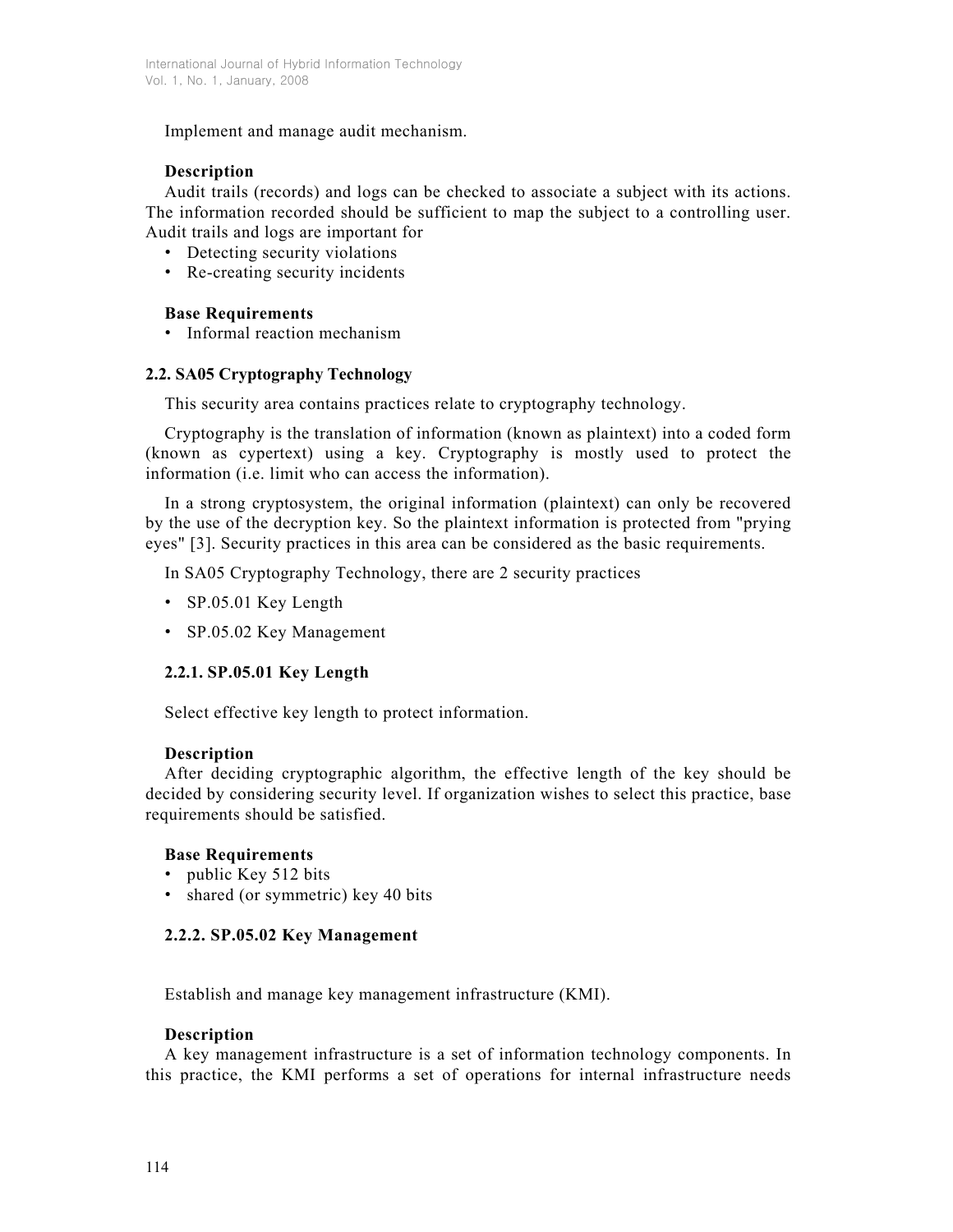Implement and manage audit mechanism.

# **Description**

Audit trails (records) and logs can be checked to associate a subject with its actions. The information recorded should be sufficient to map the subject to a controlling user. Audit trails and logs are important for

- Detecting security violations
- Re-creating security incidents

# **Base Requirements**

• Informal reaction mechanism

# **2.2. SA05 Cryptography Technology**

This security area contains practices relate to cryptography technology.

Cryptography is the translation of information (known as plaintext) into a coded form (known as cypertext) using a key. Cryptography is mostly used to protect the information (i.e. limit who can access the information).

In a strong cryptosystem, the original information (plaintext) can only be recovered by the use of the decryption key. So the plaintext information is protected from "prying eyes" [3]. Security practices in this area can be considered as the basic requirements.

In SA05 Cryptography Technology, there are 2 security practices

- SP.05.01 Key Length
- SP.05.02 Key Management

# **2.2.1. SP.05.01 Key Length**

Select effective key length to protect information.

# **Description**

After deciding cryptographic algorithm, the effective length of the key should be decided by considering security level. If organization wishes to select this practice, base requirements should be satisfied.

# **Base Requirements**

- public Key 512 bits
- shared (or symmetric) key 40 bits

# **2.2.2. SP.05.02 Key Management**

Establish and manage key management infrastructure (KMI).

## **Description**

A key management infrastructure is a set of information technology components. In this practice, the KMI performs a set of operations for internal infrastructure needs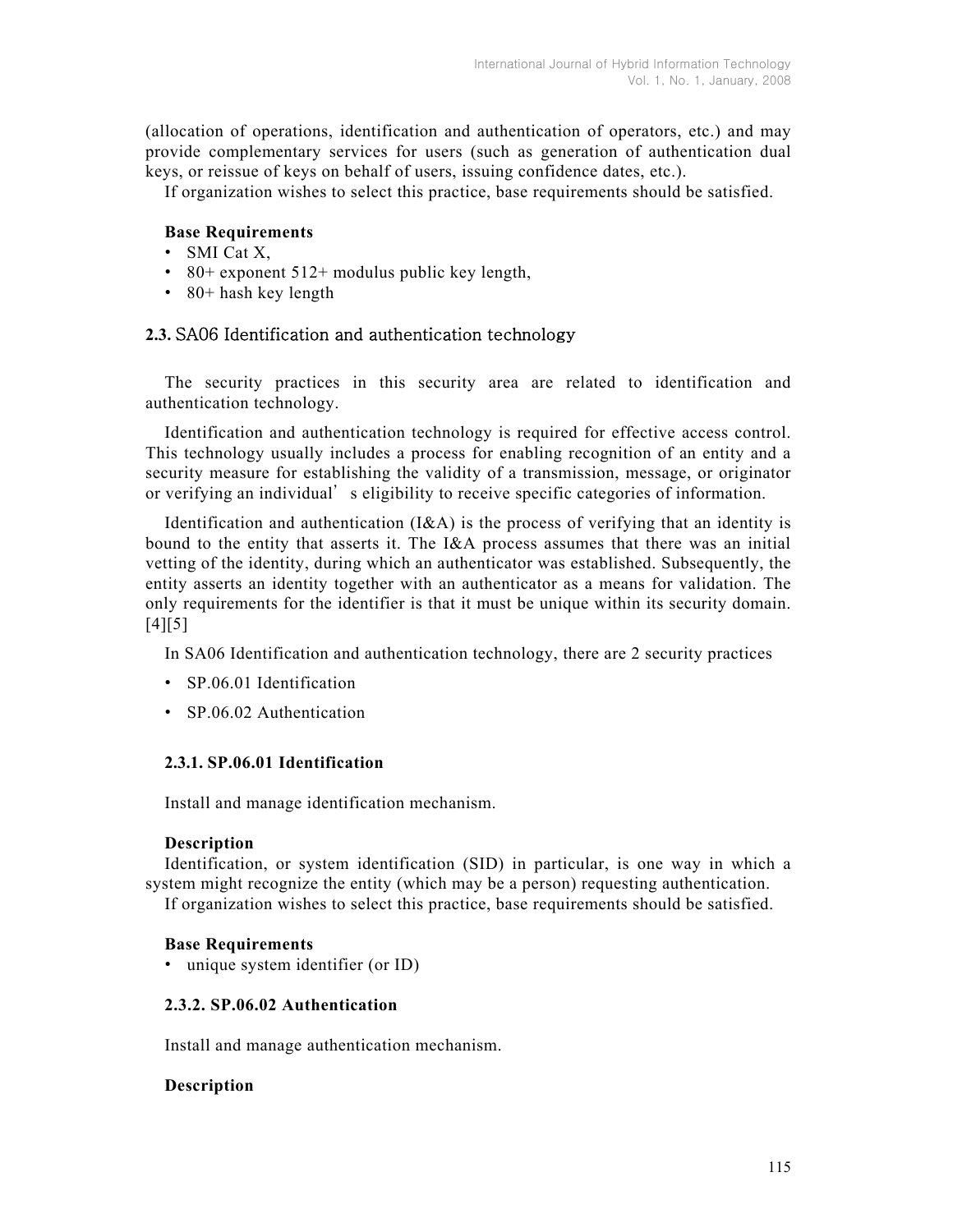(allocation of operations, identification and authentication of operators, etc.) and may provide complementary services for users (such as generation of authentication dual keys, or reissue of keys on behalf of users, issuing confidence dates, etc.).

If organization wishes to select this practice, base requirements should be satisfied.

## **Base Requirements**

- SMI Cat X,
- 80+ exponent 512+ modulus public key length,
- 80+ hash key length

## **2.3.** SA06 Identification and authentication technology

The security practices in this security area are related to identification and authentication technology.

Identification and authentication technology is required for effective access control. This technology usually includes a process for enabling recognition of an entity and a security measure for establishing the validity of a transmission, message, or originator or verifying an individual' s eligibility to receive specific categories of information.

Identification and authentication  $(I&A)$  is the process of verifying that an identity is bound to the entity that asserts it. The I&A process assumes that there was an initial vetting of the identity, during which an authenticator was established. Subsequently, the entity asserts an identity together with an authenticator as a means for validation. The only requirements for the identifier is that it must be unique within its security domain.  $[4] [5]$ 

In SA06 Identification and authentication technology, there are 2 security practices

- SP.06.01 Identification
- SP.06.02 Authentication

## **2.3.1. SP.06.01 Identification**

Install and manage identification mechanism.

#### **Description**

Identification, or system identification (SID) in particular, is one way in which a system might recognize the entity (which may be a person) requesting authentication. If organization wishes to select this practice, base requirements should be satisfied.

#### **Base Requirements**

• unique system identifier (or ID)

## **2.3.2. SP.06.02 Authentication**

Install and manage authentication mechanism.

### **Description**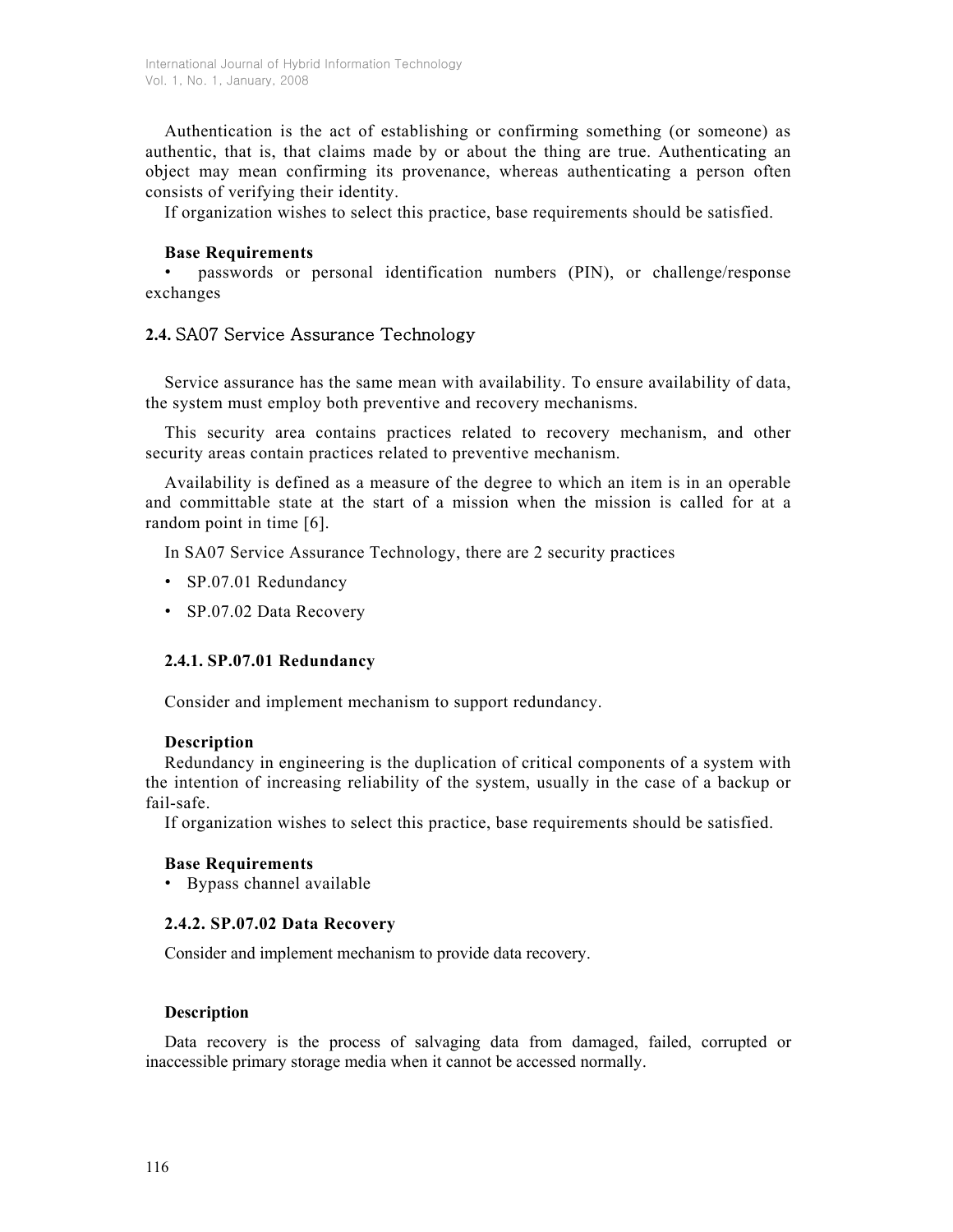Authentication is the act of establishing or confirming something (or someone) as authentic, that is, that claims made by or about the thing are true. Authenticating an object may mean confirming its provenance, whereas authenticating a person often consists of verifying their identity.

If organization wishes to select this practice, base requirements should be satisfied.

## **Base Requirements**

• passwords or personal identification numbers (PIN), or challenge/response exchanges

# **2.4.** SA07 Service Assurance Technology

Service assurance has the same mean with availability. To ensure availability of data, the system must employ both preventive and recovery mechanisms.

This security area contains practices related to recovery mechanism, and other security areas contain practices related to preventive mechanism.

Availability is defined as a measure of the degree to which an item is in an operable and committable state at the start of a mission when the mission is called for at a random point in time [6].

In SA07 Service Assurance Technology, there are 2 security practices

- SP.07.01 Redundancy
- SP.07.02 Data Recovery

### **2.4.1. SP.07.01 Redundancy**

Consider and implement mechanism to support redundancy.

### **Description**

Redundancy in engineering is the duplication of critical components of a system with the intention of increasing reliability of the system, usually in the case of a backup or fail-safe.

If organization wishes to select this practice, base requirements should be satisfied.

### **Base Requirements**

• Bypass channel available

## **2.4.2. SP.07.02 Data Recovery**

Consider and implement mechanism to provide data recovery.

### **Description**

Data recovery is the process of salvaging data from damaged, failed, corrupted or inaccessible primary storage media when it cannot be accessed normally.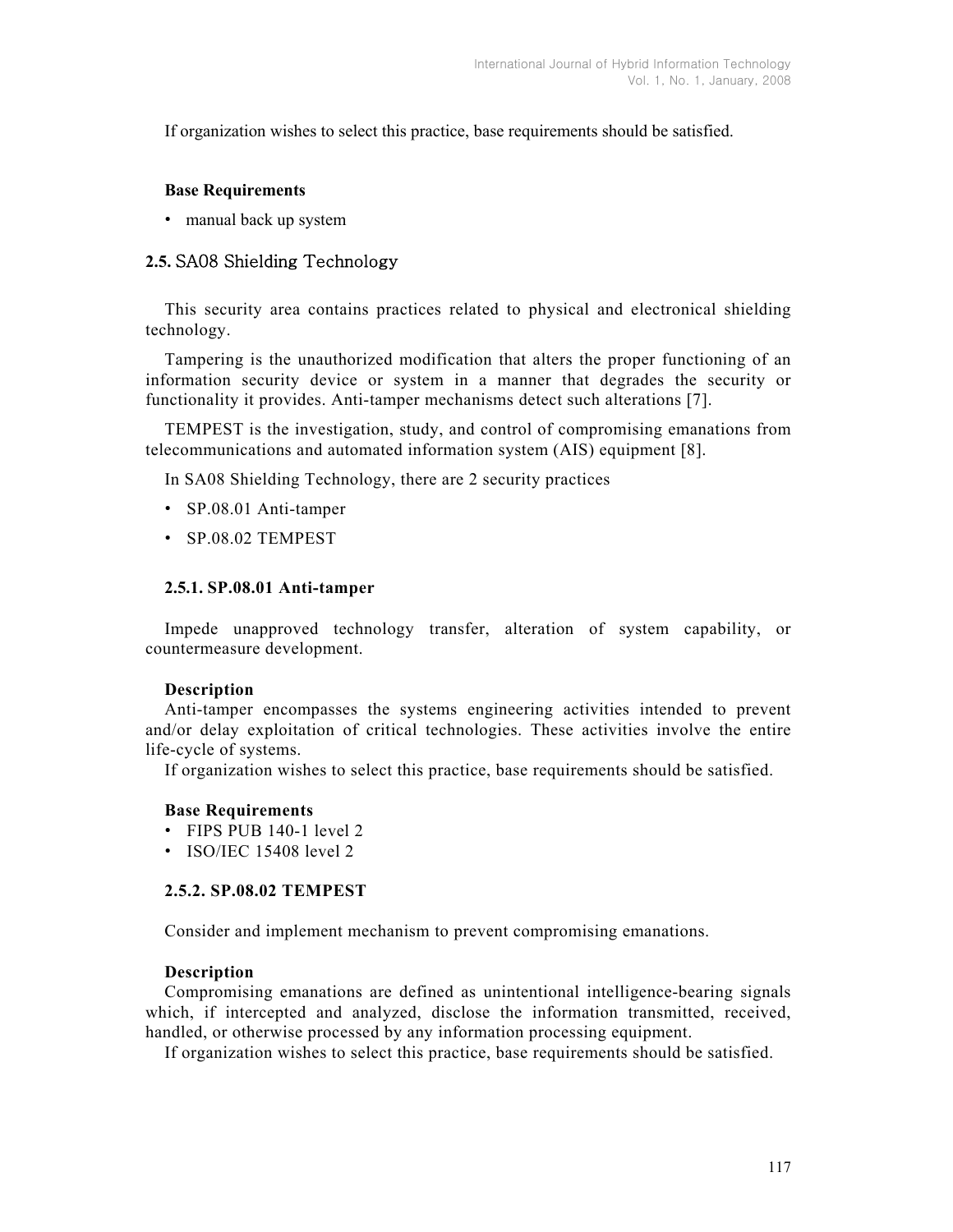If organization wishes to select this practice, base requirements should be satisfied.

### **Base Requirements**

• manual back up system

# **2.5.** SA08 Shielding Technology

This security area contains practices related to physical and electronical shielding technology.

Tampering is the unauthorized modification that alters the proper functioning of an information security device or system in a manner that degrades the security or functionality it provides. Anti-tamper mechanisms detect such alterations [7].

TEMPEST is the investigation, study, and control of compromising emanations from telecommunications and automated information system (AIS) equipment [8].

In SA08 Shielding Technology, there are 2 security practices

- SP.08.01 Anti-tamper
- SP.08.02 TEMPEST

### **2.5.1. SP.08.01 Anti-tamper**

Impede unapproved technology transfer, alteration of system capability, or countermeasure development.

### **Description**

Anti-tamper encompasses the systems engineering activities intended to prevent and/or delay exploitation of critical technologies. These activities involve the entire life-cycle of systems.

If organization wishes to select this practice, base requirements should be satisfied.

### **Base Requirements**

- FIPS PUB 140-1 level 2
- ISO/IEC 15408 level 2

### **2.5.2. SP.08.02 TEMPEST**

Consider and implement mechanism to prevent compromising emanations.

### **Description**

Compromising emanations are defined as unintentional intelligence-bearing signals which, if intercepted and analyzed, disclose the information transmitted, received, handled, or otherwise processed by any information processing equipment.

If organization wishes to select this practice, base requirements should be satisfied.